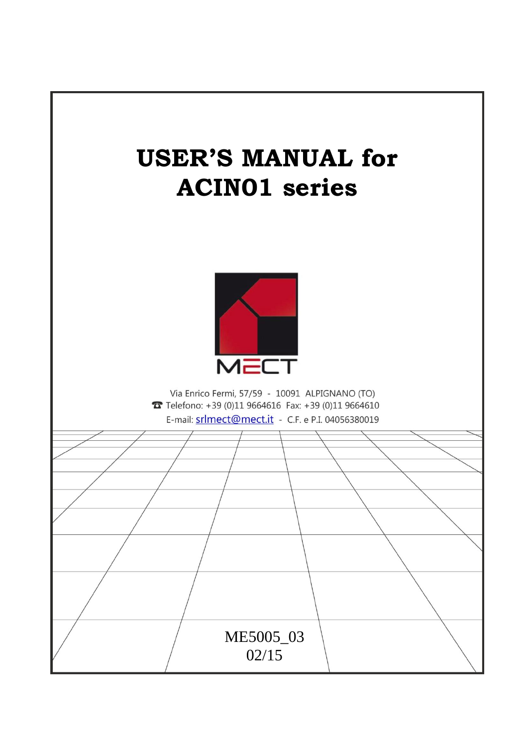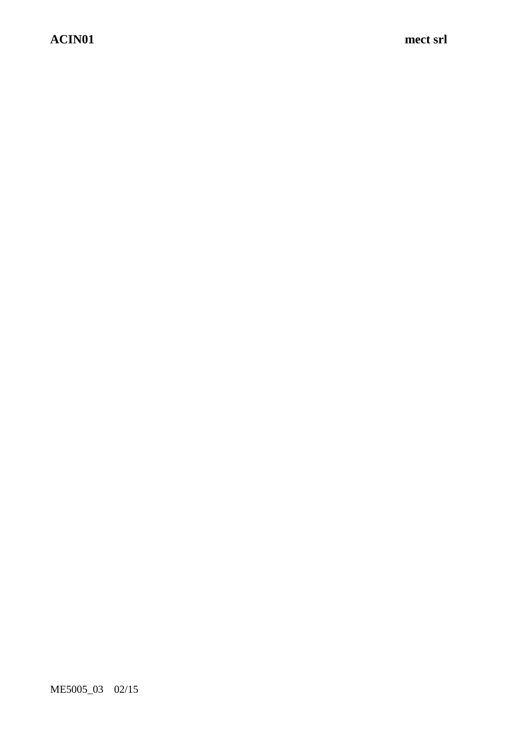ACIN01

ME5005\_03 02/15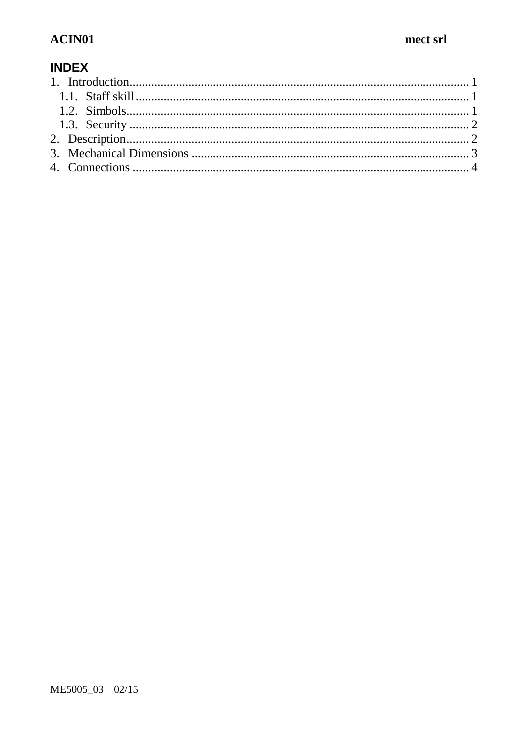# **INDEX**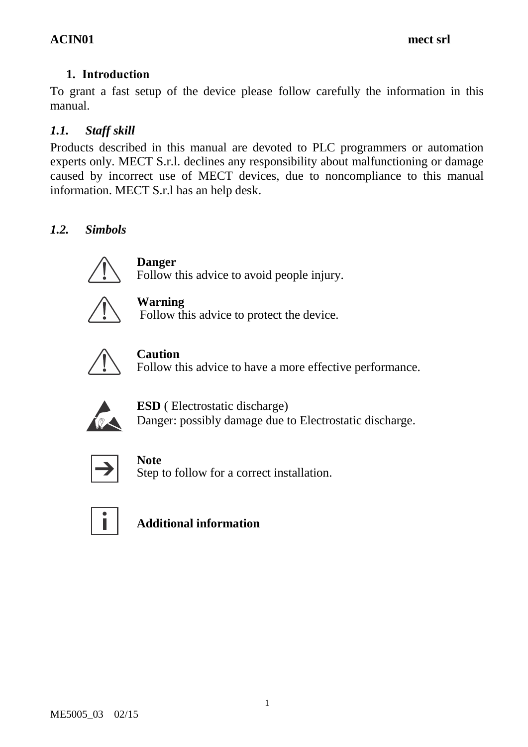#### **1. Introduction**

To grant a fast setup of the device please follow carefully the information in this manual.

#### *1.1. Staff skill*

Products described in this manual are devoted to PLC programmers or automation experts only. MECT S.r.l. declines any responsibility about malfunctioning or damage caused by incorrect use of MECT devices, due to noncompliance to this manual information. MECT S.r.l has an help desk.

# *1.2. Simbols*



#### **Danger**

Follow this advice to avoid people injury.



# **Warning**

Follow this advice to protect the device.



# **Caution**

Follow this advice to have a more effective performance.



**ESD** ( Electrostatic discharge) Danger: possibly damage due to Electrostatic discharge.



#### **Note**

Step to follow for a correct installation.



# **Additional information**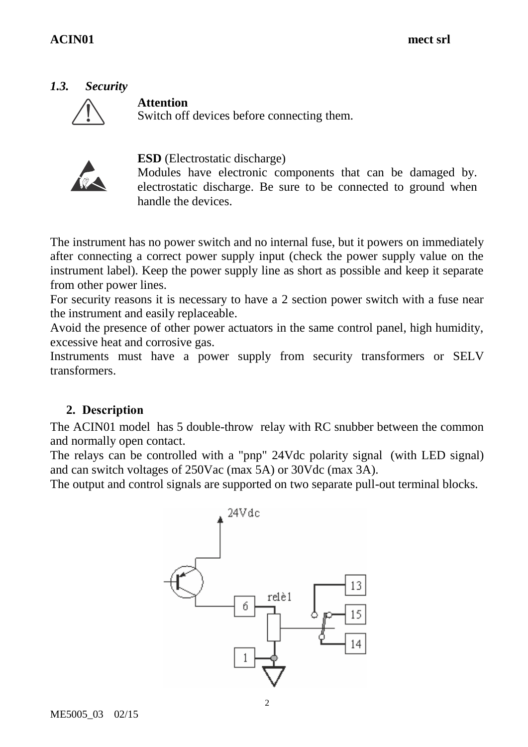### *1.3. Security*



**Attention** Switch off devices before connecting them.



**ESD** (Electrostatic discharge)

Modules have electronic components that can be damaged by. electrostatic discharge. Be sure to be connected to ground when handle the devices.

The instrument has no power switch and no internal fuse, but it powers on immediately after connecting a correct power supply input (check the power supply value on the instrument label). Keep the power supply line as short as possible and keep it separate from other power lines.

For security reasons it is necessary to have a 2 section power switch with a fuse near the instrument and easily replaceable.

Avoid the presence of other power actuators in the same control panel, high humidity, excessive heat and corrosive gas.

Instruments must have a power supply from security transformers or SELV transformers.

### **2. Description**

The ACIN01 model has 5 double-throw relay with RC snubber between the common and normally open contact.

The relays can be controlled with a "pnp" 24Vdc polarity signal (with LED signal) and can switch voltages of 250Vac (max 5A) or 30Vdc (max 3A).

The output and control signals are supported on two separate pull-out terminal blocks.

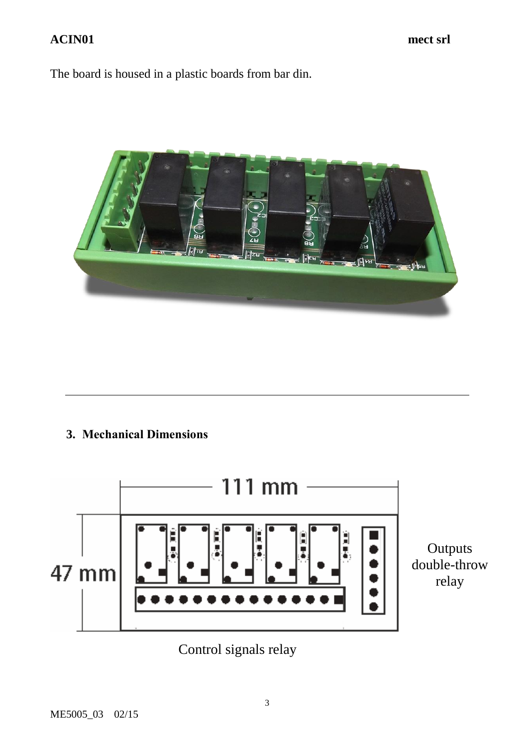#### **ACIN01 mect srl**

The board is housed in a plastic boards from bar din.



# **3. Mechanical Dimensions**



Control signals relay